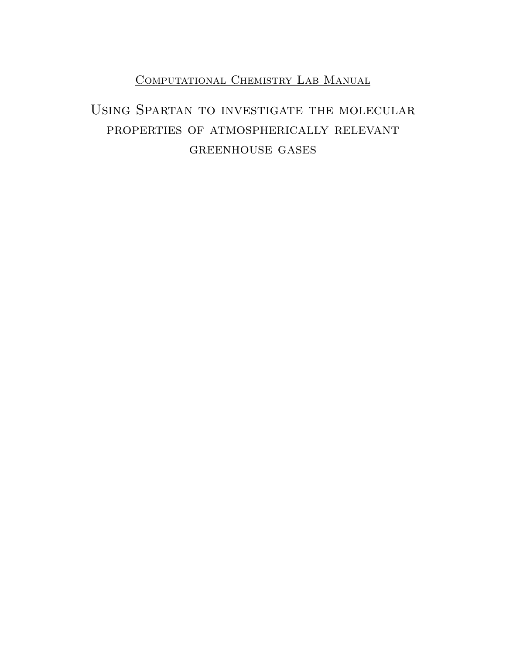## COMPUTATIONAL CHEMISTRY LAB MANUAL

# Using Spartan to investigate the molecular properties of atmospherically relevant greenhouse gases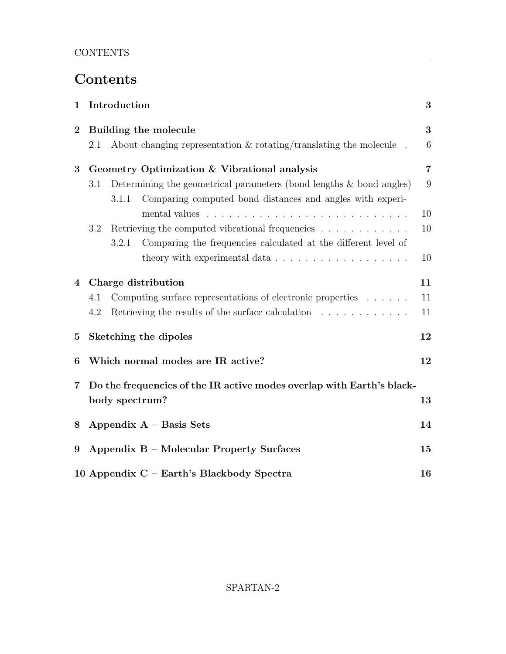# Contents

| $\mathbf{1}$            |     | Introduction   |                                                                                 | 3              |
|-------------------------|-----|----------------|---------------------------------------------------------------------------------|----------------|
| $\overline{2}$          |     |                | Building the molecule                                                           | 3              |
|                         | 2.1 |                | About changing representation $\&$ rotating/translating the molecule.           | 6              |
| $\overline{\mathbf{3}}$ |     |                | Geometry Optimization & Vibrational analysis                                    | $\overline{7}$ |
|                         | 3.1 |                | Determining the geometrical parameters (bond lengths $\&$ bond angles)          | 9              |
|                         |     | 3.1.1          | Comparing computed bond distances and angles with experi-                       |                |
|                         |     |                |                                                                                 | 10             |
|                         | 3.2 |                | Retrieving the computed vibrational frequencies                                 | 10             |
|                         |     | 3.2.1          | Comparing the frequencies calculated at the different level of                  |                |
|                         |     |                | theory with experimental data $\ldots \ldots \ldots \ldots \ldots \ldots$       | 10             |
| $\overline{4}$          |     |                | Charge distribution                                                             | 11             |
|                         | 4.1 |                | Computing surface representations of electronic properties                      | 11             |
|                         | 4.2 |                | Retrieving the results of the surface calculation $\ldots \ldots \ldots \ldots$ | 11             |
| $\bf{5}$                |     |                | Sketching the dipoles                                                           | 12             |
| 6                       |     |                | Which normal modes are IR active?                                               | 12             |
| $\overline{7}$          |     |                | Do the frequencies of the IR active modes overlap with Earth's black-           |                |
|                         |     | body spectrum? |                                                                                 | 13             |
| 8                       |     |                | Appendix $A - Basis$ Sets                                                       | 14             |
| 9                       |     |                | Appendix B - Molecular Property Surfaces                                        | 15             |
|                         |     |                | 10 Appendix C - Earth's Blackbody Spectra                                       | 16             |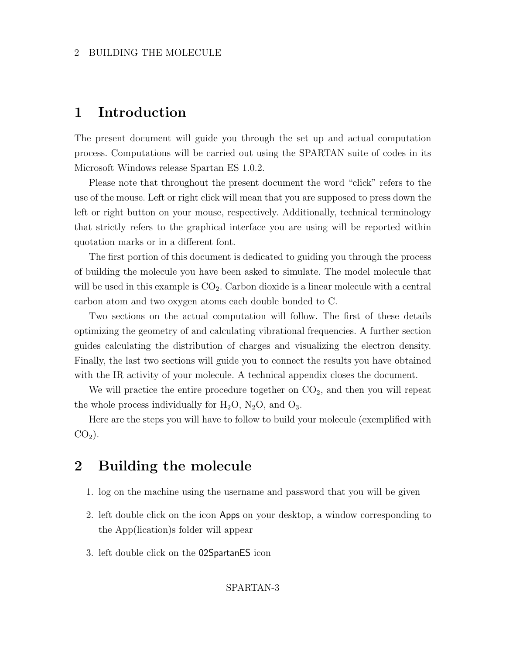### 1 Introduction

The present document will guide you through the set up and actual computation process. Computations will be carried out using the SPARTAN suite of codes in its Microsoft Windows release Spartan ES 1.0.2.

Please note that throughout the present document the word "click" refers to the use of the mouse. Left or right click will mean that you are supposed to press down the left or right button on your mouse, respectively. Additionally, technical terminology that strictly refers to the graphical interface you are using will be reported within quotation marks or in a different font.

The first portion of this document is dedicated to guiding you through the process of building the molecule you have been asked to simulate. The model molecule that will be used in this example is  $CO<sub>2</sub>$ . Carbon dioxide is a linear molecule with a central carbon atom and two oxygen atoms each double bonded to C.

Two sections on the actual computation will follow. The first of these details optimizing the geometry of and calculating vibrational frequencies. A further section guides calculating the distribution of charges and visualizing the electron density. Finally, the last two sections will guide you to connect the results you have obtained with the IR activity of your molecule. A technical appendix closes the document.

We will practice the entire procedure together on  $CO<sub>2</sub>$ , and then you will repeat the whole process individually for  $H_2O$ ,  $N_2O$ , and  $O_3$ .

Here are the steps you will have to follow to build your molecule (exemplified with  $CO<sub>2</sub>$ ).

### 2 Building the molecule

- 1. log on the machine using the username and password that you will be given
- 2. left double click on the icon Apps on your desktop, a window corresponding to the App(lication)s folder will appear
- 3. left double click on the 02SpartanES icon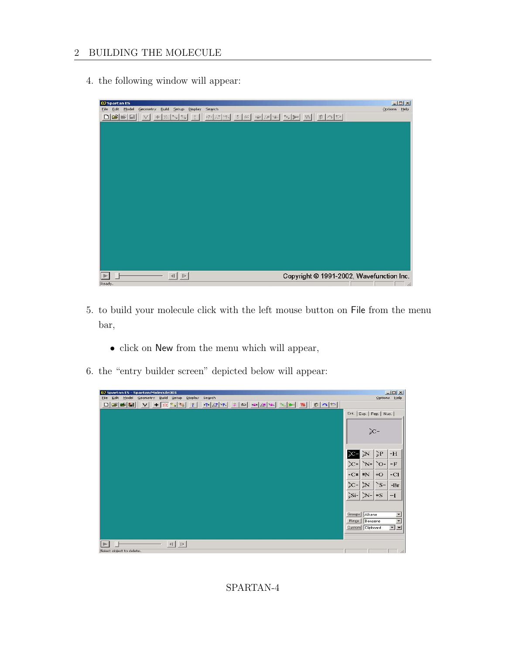#### 2 BUILDING THE MOLECULE

4. the following window will appear:



- 5. to build your molecule click with the left mouse button on File from the menu bar,
	- click on New from the menu which will appear,
- 6. the "entry builder screen" depicted below will appear:

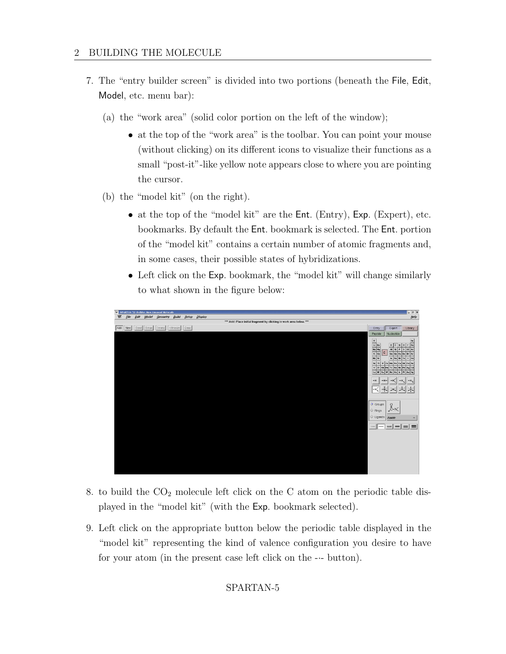- 7. The "entry builder screen" is divided into two portions (beneath the File, Edit, Model, etc. menu bar):
	- (a) the "work area" (solid color portion on the left of the window);
		- at the top of the "work area" is the toolbar. You can point your mouse (without clicking) on its different icons to visualize their functions as a small "post-it"-like yellow note appears close to where you are pointing the cursor.
	- (b) the "model kit" (on the right).
		- at the top of the "model kit" are the Ent. (Entry), Exp. (Expert), etc. bookmarks. By default the Ent. bookmark is selected. The Ent. portion of the "model kit" contains a certain number of atomic fragments and, in some cases, their possible states of hybridizations.
		- Left click on the Exp. bookmark, the "model kit" will change similarly to what shown in the figure below:



- 8. to build the  $CO<sub>2</sub>$  molecule left click on the C atom on the periodic table displayed in the "model kit" (with the Exp. bookmark selected).
- 9. Left click on the appropriate button below the periodic table displayed in the "model kit" representing the kind of valence configuration you desire to have for your atom (in the present case left click on the -·- button).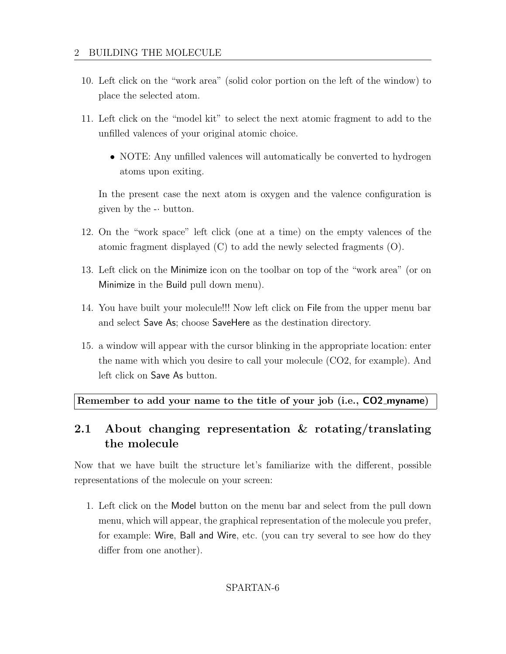- 10. Left click on the "work area" (solid color portion on the left of the window) to place the selected atom.
- 11. Left click on the "model kit" to select the next atomic fragment to add to the unfilled valences of your original atomic choice.
	- NOTE: Any unfilled valences will automatically be converted to hydrogen atoms upon exiting.

In the present case the next atom is oxygen and the valence configuration is given by the  $\cdot\cdot$  button.

- 12. On the "work space" left click (one at a time) on the empty valences of the atomic fragment displayed (C) to add the newly selected fragments (O).
- 13. Left click on the Minimize icon on the toolbar on top of the "work area" (or on Minimize in the Build pull down menu).
- 14. You have built your molecule!!! Now left click on File from the upper menu bar and select Save As; choose SaveHere as the destination directory.
- 15. a window will appear with the cursor blinking in the appropriate location: enter the name with which you desire to call your molecule (CO2, for example). And left click on Save As button.

Remember to add your name to the title of your job (i.e., CO2 myname)

## 2.1 About changing representation & rotating/translating the molecule

Now that we have built the structure let's familiarize with the different, possible representations of the molecule on your screen:

1. Left click on the Model button on the menu bar and select from the pull down menu, which will appear, the graphical representation of the molecule you prefer, for example: Wire, Ball and Wire, etc. (you can try several to see how do they differ from one another).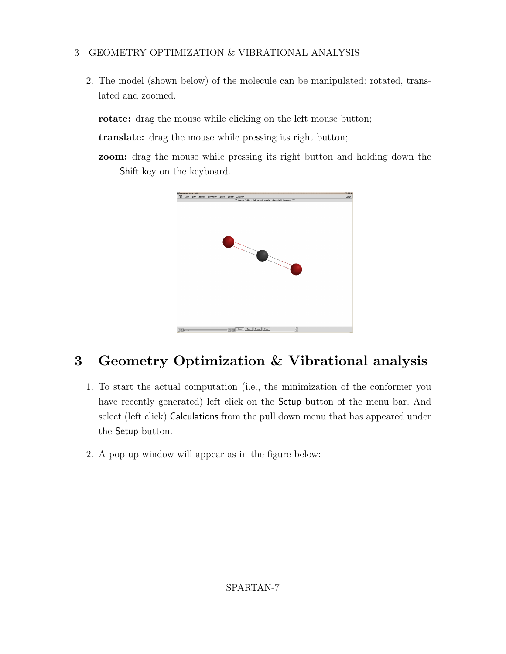### 3 GEOMETRY OPTIMIZATION & VIBRATIONAL ANALYSIS

2. The model (shown below) of the molecule can be manipulated: rotated, translated and zoomed.

rotate: drag the mouse while clicking on the left mouse button;

translate: drag the mouse while pressing its right button;

zoom: drag the mouse while pressing its right button and holding down the Shift key on the keyboard.



# 3 Geometry Optimization & Vibrational analysis

- 1. To start the actual computation (i.e., the minimization of the conformer you have recently generated) left click on the Setup button of the menu bar. And select (left click) Calculations from the pull down menu that has appeared under the Setup button.
- 2. A pop up window will appear as in the figure below: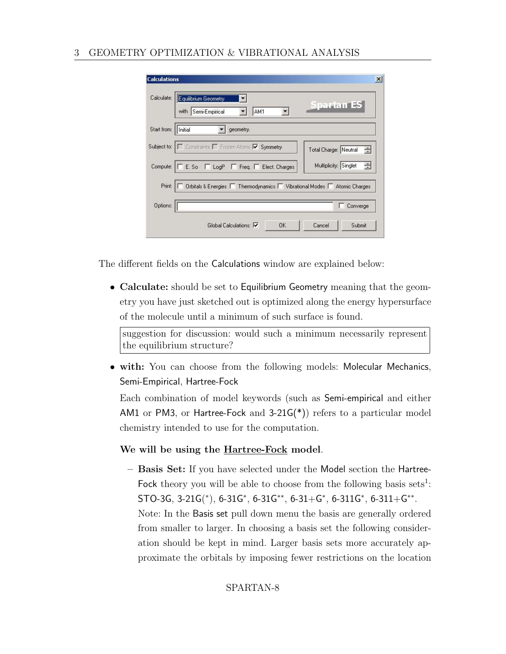#### 3 GEOMETRY OPTIMIZATION & VIBRATIONAL ANALYSIS

| Calculate:            | Equilibrium Geometry<br>$\blacktriangledown$<br><b>Spartan ES</b><br>with Semi-Empirical<br>AM1      |
|-----------------------|------------------------------------------------------------------------------------------------------|
| Start from:   Initial | geometry.                                                                                            |
|                       | Subject to:     Constraints   Frozen Atoms   Symmetry<br>奇<br>Total Charge: Neutral                  |
|                       | Multiplicity: Singlet<br>÷<br>Compute:   $\Box$ E. So $\Box$ LogP $\Box$ Freq. $\Box$ Elect. Charges |
| Print:                | Orbitals & Energies □ Thermodynamics □ Vibrational Modes □ Atomic Charges                            |
|                       |                                                                                                      |

The different fields on the Calculations window are explained below:

• Calculate: should be set to Equilibrium Geometry meaning that the geometry you have just sketched out is optimized along the energy hypersurface of the molecule until a minimum of such surface is found.

suggestion for discussion: would such a minimum necessarily represent the equilibrium structure?

• with: You can choose from the following models: Molecular Mechanics, Semi-Empirical, Hartree-Fock

Each combination of model keywords (such as Semi-empirical and either AM1 or PM3, or Hartree-Fock and  $3-21G(*)$  refers to a particular model chemistry intended to use for the computation.

#### We will be using the Hartree-Fock model.

– Basis Set: If you have selected under the Model section the Hartree-Fock theory you will be able to choose from the following basis sets<sup>1</sup>:  $STO-3G, 3-21G(*), 6-31G*, 6-31G**, 6-31+G*, 6-311G*, 6-311+G**.$ Note: In the Basis set pull down menu the basis are generally ordered from smaller to larger. In choosing a basis set the following consideration should be kept in mind. Larger basis sets more accurately approximate the orbitals by imposing fewer restrictions on the location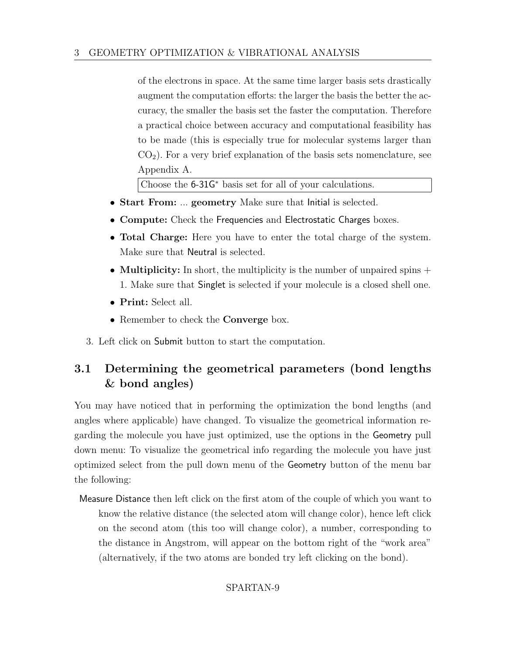of the electrons in space. At the same time larger basis sets drastically augment the computation efforts: the larger the basis the better the accuracy, the smaller the basis set the faster the computation. Therefore a practical choice between accuracy and computational feasibility has to be made (this is especially true for molecular systems larger than  $CO<sub>2</sub>$ ). For a very brief explanation of the basis sets nomenclature, see Appendix A.

Choose the 6-31G<sup>∗</sup> basis set for all of your calculations.

- Start From: ... geometry Make sure that Initial is selected.
- Compute: Check the Frequencies and Electrostatic Charges boxes.
- Total Charge: Here you have to enter the total charge of the system. Make sure that Neutral is selected.
- **Multiplicity:** In short, the multiplicity is the number of unpaired spins  $+$ 1. Make sure that Singlet is selected if your molecule is a closed shell one.
- Print: Select all.
- Remember to check the **Converge** box.
- 3. Left click on Submit button to start the computation.

## 3.1 Determining the geometrical parameters (bond lengths & bond angles)

You may have noticed that in performing the optimization the bond lengths (and angles where applicable) have changed. To visualize the geometrical information regarding the molecule you have just optimized, use the options in the Geometry pull down menu: To visualize the geometrical info regarding the molecule you have just optimized select from the pull down menu of the Geometry button of the menu bar the following:

Measure Distance then left click on the first atom of the couple of which you want to know the relative distance (the selected atom will change color), hence left click on the second atom (this too will change color), a number, corresponding to the distance in Angstrom, will appear on the bottom right of the "work area" (alternatively, if the two atoms are bonded try left clicking on the bond).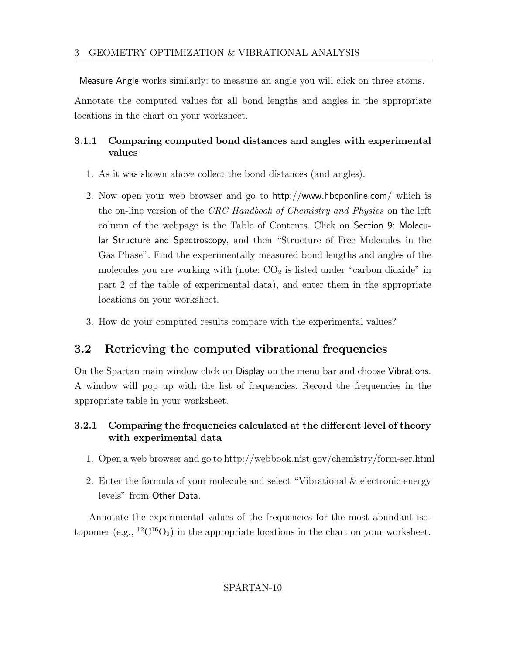Measure Angle works similarly: to measure an angle you will click on three atoms.

Annotate the computed values for all bond lengths and angles in the appropriate locations in the chart on your worksheet.

### 3.1.1 Comparing computed bond distances and angles with experimental values

- 1. As it was shown above collect the bond distances (and angles).
- 2. Now open your web browser and go to http://www.hbcponline.com/ which is the on-line version of the CRC Handbook of Chemistry and Physics on the left column of the webpage is the Table of Contents. Click on Section 9: Molecular Structure and Spectroscopy, and then "Structure of Free Molecules in the Gas Phase". Find the experimentally measured bond lengths and angles of the molecules you are working with (note:  $CO<sub>2</sub>$  is listed under "carbon dioxide" in part 2 of the table of experimental data), and enter them in the appropriate locations on your worksheet.
- 3. How do your computed results compare with the experimental values?

## 3.2 Retrieving the computed vibrational frequencies

On the Spartan main window click on Display on the menu bar and choose Vibrations. A window will pop up with the list of frequencies. Record the frequencies in the appropriate table in your worksheet.

### 3.2.1 Comparing the frequencies calculated at the different level of theory with experimental data

- 1. Open a web browser and go to http://webbook.nist.gov/chemistry/form-ser.html
- 2. Enter the formula of your molecule and select "Vibrational & electronic energy levels" from Other Data.

Annotate the experimental values of the frequencies for the most abundant isotopomer (e.g.,  ${}^{12}C^{16}O_2$ ) in the appropriate locations in the chart on your worksheet.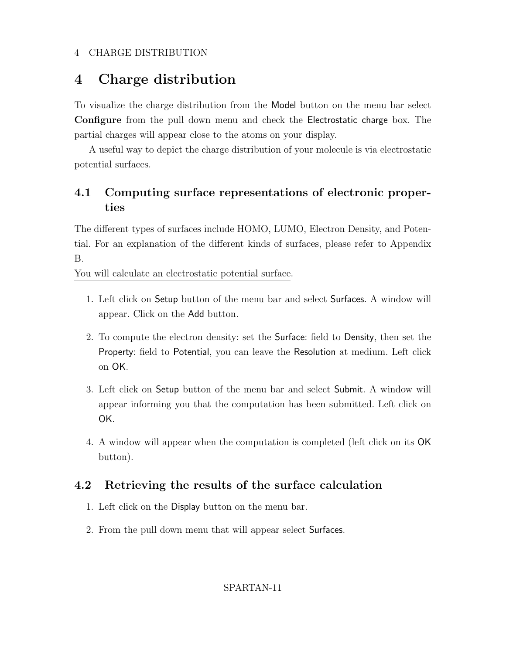# 4 Charge distribution

To visualize the charge distribution from the Model button on the menu bar select Configure from the pull down menu and check the Electrostatic charge box. The partial charges will appear close to the atoms on your display.

A useful way to depict the charge distribution of your molecule is via electrostatic potential surfaces.

### 4.1 Computing surface representations of electronic properties

The different types of surfaces include HOMO, LUMO, Electron Density, and Potential. For an explanation of the different kinds of surfaces, please refer to Appendix B.

You will calculate an electrostatic potential surface.

- 1. Left click on Setup button of the menu bar and select Surfaces. A window will appear. Click on the Add button.
- 2. To compute the electron density: set the Surface: field to Density, then set the Property: field to Potential, you can leave the Resolution at medium. Left click on OK.
- 3. Left click on Setup button of the menu bar and select Submit. A window will appear informing you that the computation has been submitted. Left click on OK.
- 4. A window will appear when the computation is completed (left click on its OK button).

### 4.2 Retrieving the results of the surface calculation

- 1. Left click on the Display button on the menu bar.
- 2. From the pull down menu that will appear select Surfaces.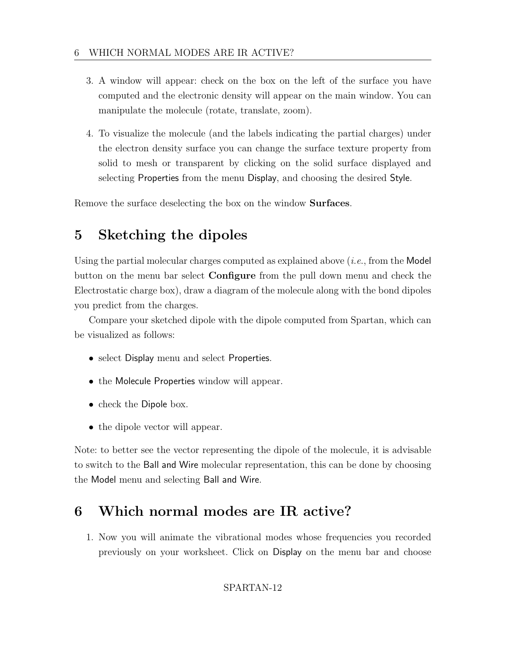- 3. A window will appear: check on the box on the left of the surface you have computed and the electronic density will appear on the main window. You can manipulate the molecule (rotate, translate, zoom).
- 4. To visualize the molecule (and the labels indicating the partial charges) under the electron density surface you can change the surface texture property from solid to mesh or transparent by clicking on the solid surface displayed and selecting Properties from the menu Display, and choosing the desired Style.

Remove the surface deselecting the box on the window Surfaces.

# 5 Sketching the dipoles

Using the partial molecular charges computed as explained above  $(i.e., from the Model)$ button on the menu bar select Configure from the pull down menu and check the Electrostatic charge box), draw a diagram of the molecule along with the bond dipoles you predict from the charges.

Compare your sketched dipole with the dipole computed from Spartan, which can be visualized as follows:

- select Display menu and select Properties.
- the Molecule Properties window will appear.
- check the Dipole box.
- the dipole vector will appear.

Note: to better see the vector representing the dipole of the molecule, it is advisable to switch to the Ball and Wire molecular representation, this can be done by choosing the Model menu and selecting Ball and Wire.

# 6 Which normal modes are IR active?

1. Now you will animate the vibrational modes whose frequencies you recorded previously on your worksheet. Click on Display on the menu bar and choose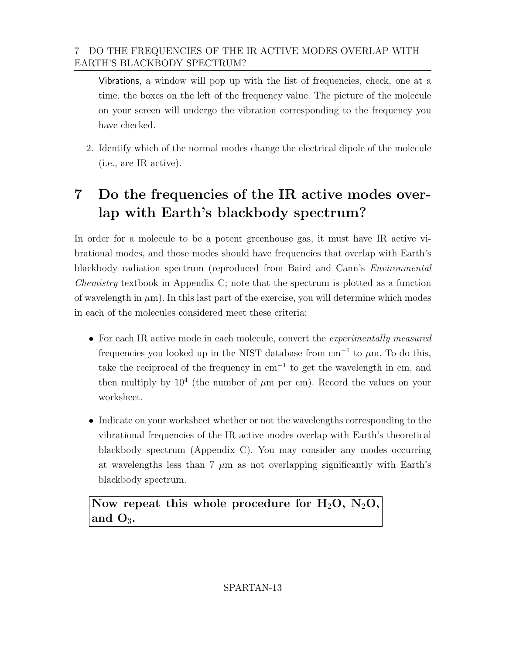### 7 DO THE FREQUENCIES OF THE IR ACTIVE MODES OVERLAP WITH EARTH'S BLACKBODY SPECTRUM?

Vibrations, a window will pop up with the list of frequencies, check, one at a time, the boxes on the left of the frequency value. The picture of the molecule on your screen will undergo the vibration corresponding to the frequency you have checked.

2. Identify which of the normal modes change the electrical dipole of the molecule (i.e., are IR active).

# 7 Do the frequencies of the IR active modes overlap with Earth's blackbody spectrum?

In order for a molecule to be a potent greenhouse gas, it must have IR active vibrational modes, and those modes should have frequencies that overlap with Earth's blackbody radiation spectrum (reproduced from Baird and Cann's Environmental Chemistry textbook in Appendix C; note that the spectrum is plotted as a function of wavelength in  $\mu$ m). In this last part of the exercise, you will determine which modes in each of the molecules considered meet these criteria:

- For each IR active mode in each molecule, convert the *experimentally measured* frequencies you looked up in the NIST database from  $cm^{-1}$  to  $\mu$ m. To do this, take the reciprocal of the frequency in cm<sup>−</sup><sup>1</sup> to get the wavelength in cm, and then multiply by  $10^4$  (the number of  $\mu$ m per cm). Record the values on your worksheet.
- Indicate on your worksheet whether or not the wavelengths corresponding to the vibrational frequencies of the IR active modes overlap with Earth's theoretical blackbody spectrum (Appendix C). You may consider any modes occurring at wavelengths less than 7  $\mu$ m as not overlapping significantly with Earth's blackbody spectrum.

Now repeat this whole procedure for  $H_2O$ ,  $N_2O$ , and  $O_3$ .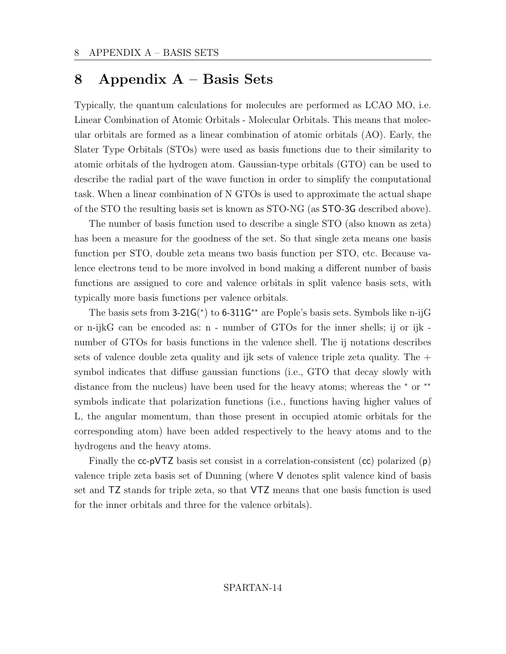## 8 Appendix A – Basis Sets

Typically, the quantum calculations for molecules are performed as LCAO MO, i.e. Linear Combination of Atomic Orbitals - Molecular Orbitals. This means that molecular orbitals are formed as a linear combination of atomic orbitals (AO). Early, the Slater Type Orbitals (STOs) were used as basis functions due to their similarity to atomic orbitals of the hydrogen atom. Gaussian-type orbitals (GTO) can be used to describe the radial part of the wave function in order to simplify the computational task. When a linear combination of N GTOs is used to approximate the actual shape of the STO the resulting basis set is known as STO-NG (as STO-3G described above).

The number of basis function used to describe a single STO (also known as zeta) has been a measure for the goodness of the set. So that single zeta means one basis function per STO, double zeta means two basis function per STO, etc. Because valence electrons tend to be more involved in bond making a different number of basis functions are assigned to core and valence orbitals in split valence basis sets, with typically more basis functions per valence orbitals.

The basis sets from 3-21G(\*) to 6-311G<sup>\*\*</sup> are Pople's basis sets. Symbols like n-ijG or n-ijkG can be encoded as: n - number of GTOs for the inner shells; ij or ijk number of GTOs for basis functions in the valence shell. The ij notations describes sets of valence double zeta quality and ijk sets of valence triple zeta quality. The  $+$ symbol indicates that diffuse gaussian functions (i.e., GTO that decay slowly with distance from the nucleus) have been used for the heavy atoms; whereas the <sup>∗</sup> or ∗∗ symbols indicate that polarization functions (i.e., functions having higher values of L, the angular momentum, than those present in occupied atomic orbitals for the corresponding atom) have been added respectively to the heavy atoms and to the hydrogens and the heavy atoms.

Finally the  $cc$ -pVTZ basis set consist in a correlation-consistent  $(cc)$  polarized  $(p)$ valence triple zeta basis set of Dunning (where V denotes split valence kind of basis set and TZ stands for triple zeta, so that VTZ means that one basis function is used for the inner orbitals and three for the valence orbitals).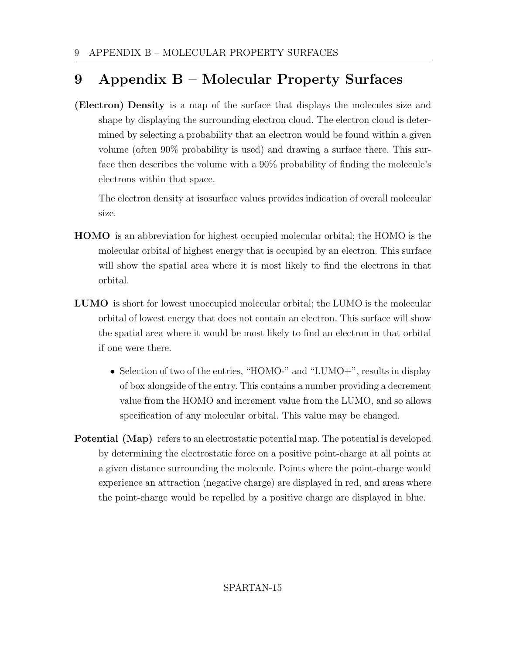# 9 Appendix B – Molecular Property Surfaces

(Electron) Density is a map of the surface that displays the molecules size and shape by displaying the surrounding electron cloud. The electron cloud is determined by selecting a probability that an electron would be found within a given volume (often 90% probability is used) and drawing a surface there. This surface then describes the volume with a 90% probability of finding the molecule's electrons within that space.

The electron density at isosurface values provides indication of overall molecular size.

- HOMO is an abbreviation for highest occupied molecular orbital; the HOMO is the molecular orbital of highest energy that is occupied by an electron. This surface will show the spatial area where it is most likely to find the electrons in that orbital.
- LUMO is short for lowest unoccupied molecular orbital; the LUMO is the molecular orbital of lowest energy that does not contain an electron. This surface will show the spatial area where it would be most likely to find an electron in that orbital if one were there.
	- Selection of two of the entries, "HOMO-" and "LUMO+", results in display of box alongside of the entry. This contains a number providing a decrement value from the HOMO and increment value from the LUMO, and so allows specification of any molecular orbital. This value may be changed.
- Potential (Map) refers to an electrostatic potential map. The potential is developed by determining the electrostatic force on a positive point-charge at all points at a given distance surrounding the molecule. Points where the point-charge would experience an attraction (negative charge) are displayed in red, and areas where the point-charge would be repelled by a positive charge are displayed in blue.